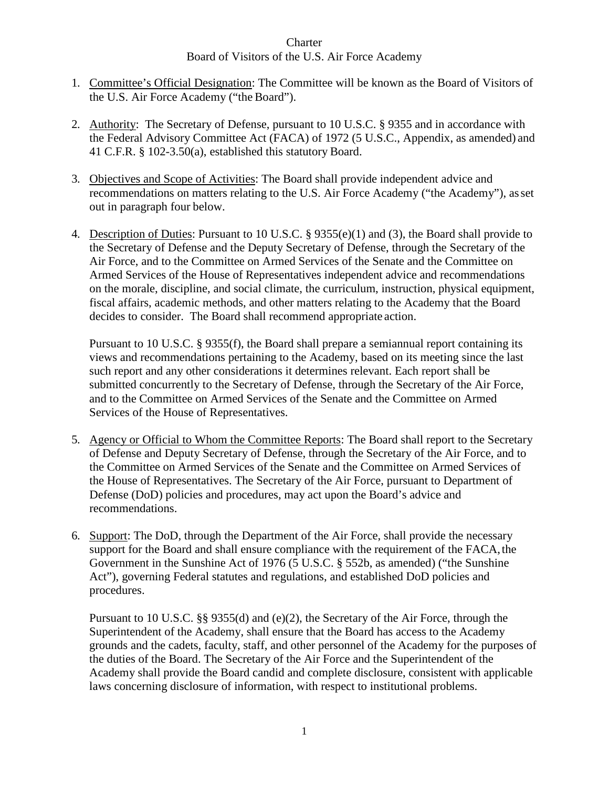- 1. Committee's Official Designation: The Committee will be known as the Board of Visitors of the U.S. Air Force Academy ("the Board").
- 2. Authority: The Secretary of Defense, pursuant to 10 U.S.C. § 9355 and in accordance with the Federal Advisory Committee Act (FACA) of 1972 (5 U.S.C., Appendix, as amended) and 41 C.F.R. § 102-3.50(a), established this statutory Board.
- 3. Objectives and Scope of Activities: The Board shall provide independent advice and recommendations on matters relating to the U.S. Air Force Academy ("the Academy"), asset out in paragraph four below.
- 4. Description of Duties: Pursuant to 10 U.S.C. § 9355(e)(1) and (3), the Board shall provide to the Secretary of Defense and the Deputy Secretary of Defense, through the Secretary of the Air Force, and to the Committee on Armed Services of the Senate and the Committee on Armed Services of the House of Representatives independent advice and recommendations on the morale, discipline, and social climate, the curriculum, instruction, physical equipment, fiscal affairs, academic methods, and other matters relating to the Academy that the Board decides to consider. The Board shall recommend appropriate action.

Pursuant to 10 U.S.C. § 9355(f), the Board shall prepare a semiannual report containing its views and recommendations pertaining to the Academy, based on its meeting since the last such report and any other considerations it determines relevant. Each report shall be submitted concurrently to the Secretary of Defense, through the Secretary of the Air Force, and to the Committee on Armed Services of the Senate and the Committee on Armed Services of the House of Representatives.

- 5. Agency or Official to Whom the Committee Reports: The Board shall report to the Secretary of Defense and Deputy Secretary of Defense, through the Secretary of the Air Force, and to the Committee on Armed Services of the Senate and the Committee on Armed Services of the House of Representatives. The Secretary of the Air Force, pursuant to Department of Defense (DoD) policies and procedures, may act upon the Board's advice and recommendations.
- 6. Support: The DoD, through the Department of the Air Force, shall provide the necessary support for the Board and shall ensure compliance with the requirement of the FACA, the Government in the Sunshine Act of 1976 (5 U.S.C. § 552b, as amended) ("the Sunshine Act"), governing Federal statutes and regulations, and established DoD policies and procedures.

Pursuant to 10 U.S.C. §§ 9355(d) and (e)(2), the Secretary of the Air Force, through the Superintendent of the Academy, shall ensure that the Board has access to the Academy grounds and the cadets, faculty, staff, and other personnel of the Academy for the purposes of the duties of the Board. The Secretary of the Air Force and the Superintendent of the Academy shall provide the Board candid and complete disclosure, consistent with applicable laws concerning disclosure of information, with respect to institutional problems.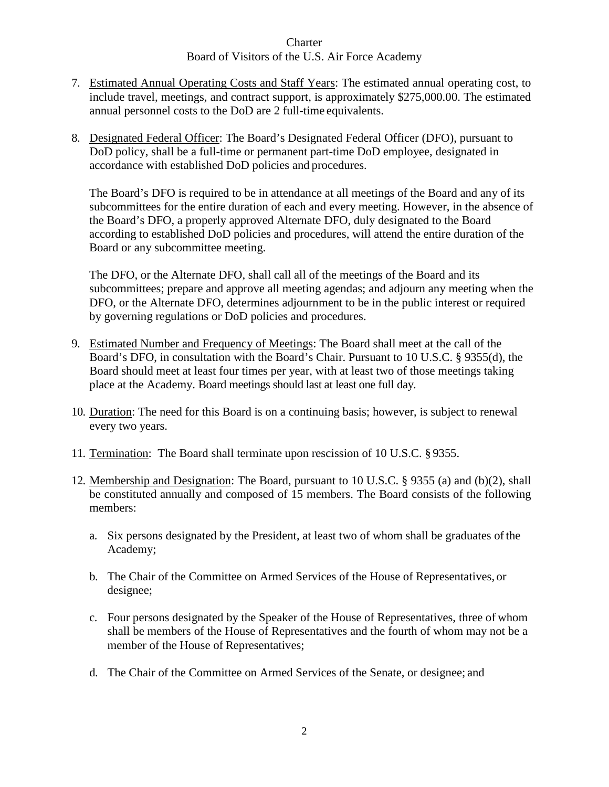- 7. Estimated Annual Operating Costs and Staff Years: The estimated annual operating cost, to include travel, meetings, and contract support, is approximately \$275,000.00. The estimated annual personnel costs to the DoD are 2 full-time equivalents.
- 8. Designated Federal Officer: The Board's Designated Federal Officer (DFO), pursuant to DoD policy, shall be a full-time or permanent part-time DoD employee, designated in accordance with established DoD policies and procedures.

The Board's DFO is required to be in attendance at all meetings of the Board and any of its subcommittees for the entire duration of each and every meeting. However, in the absence of the Board's DFO, a properly approved Alternate DFO, duly designated to the Board according to established DoD policies and procedures, will attend the entire duration of the Board or any subcommittee meeting.

The DFO, or the Alternate DFO, shall call all of the meetings of the Board and its subcommittees; prepare and approve all meeting agendas; and adjourn any meeting when the DFO, or the Alternate DFO, determines adjournment to be in the public interest or required by governing regulations or DoD policies and procedures.

- 9. Estimated Number and Frequency of Meetings: The Board shall meet at the call of the Board's DFO, in consultation with the Board's Chair. Pursuant to 10 U.S.C. § 9355(d), the Board should meet at least four times per year, with at least two of those meetings taking place at the Academy. Board meetings should last at least one full day.
- 10. Duration: The need for this Board is on a continuing basis; however, is subject to renewal every two years.
- 11. Termination: The Board shall terminate upon rescission of 10 U.S.C. § 9355.
- 12. Membership and Designation: The Board, pursuant to 10 U.S.C. § 9355 (a) and (b)(2), shall be constituted annually and composed of 15 members. The Board consists of the following members:
	- a. Six persons designated by the President, at least two of whom shall be graduates ofthe Academy;
	- b. The Chair of the Committee on Armed Services of the House of Representatives, or designee;
	- c. Four persons designated by the Speaker of the House of Representatives, three of whom shall be members of the House of Representatives and the fourth of whom may not be a member of the House of Representatives;
	- d. The Chair of the Committee on Armed Services of the Senate, or designee; and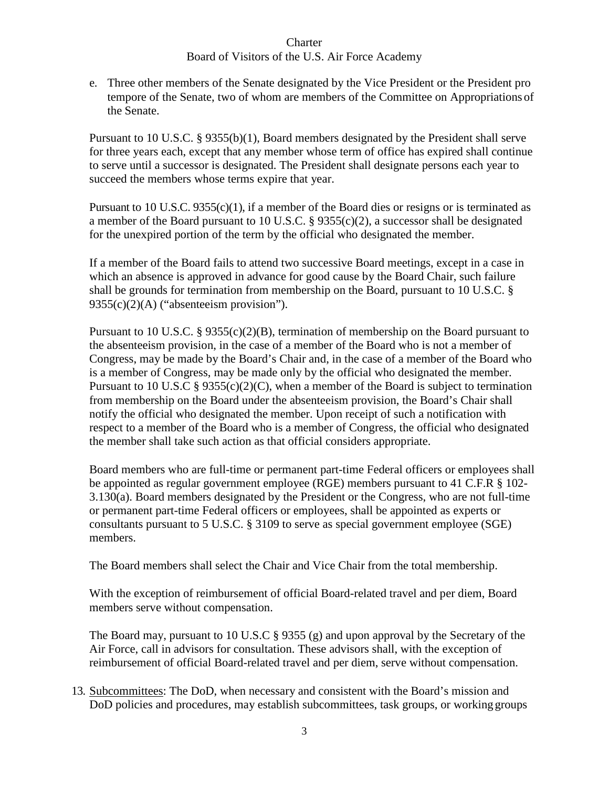e. Three other members of the Senate designated by the Vice President or the President pro tempore of the Senate, two of whom are members of the Committee on Appropriations of the Senate.

Pursuant to 10 U.S.C. § 9355(b)(1), Board members designated by the President shall serve for three years each, except that any member whose term of office has expired shall continue to serve until a successor is designated. The President shall designate persons each year to succeed the members whose terms expire that year.

Pursuant to 10 U.S.C. 9355(c)(1), if a member of the Board dies or resigns or is terminated as a member of the Board pursuant to 10 U.S.C. § 9355(c)(2), a successor shall be designated for the unexpired portion of the term by the official who designated the member.

If a member of the Board fails to attend two successive Board meetings, except in a case in which an absence is approved in advance for good cause by the Board Chair, such failure shall be grounds for termination from membership on the Board, pursuant to 10 U.S.C. §  $9355(c)(2)(A)$  ("absenteeism provision").

Pursuant to 10 U.S.C. § 9355(c)(2)(B), termination of membership on the Board pursuant to the absenteeism provision, in the case of a member of the Board who is not a member of Congress, may be made by the Board's Chair and, in the case of a member of the Board who is a member of Congress, may be made only by the official who designated the member. Pursuant to 10 U.S.C § 9355(c)(2)(C), when a member of the Board is subject to termination from membership on the Board under the absenteeism provision, the Board's Chair shall notify the official who designated the member. Upon receipt of such a notification with respect to a member of the Board who is a member of Congress, the official who designated the member shall take such action as that official considers appropriate.

Board members who are full-time or permanent part-time Federal officers or employees shall be appointed as regular government employee (RGE) members pursuant to 41 C.F.R § 102- 3.130(a). Board members designated by the President or the Congress, who are not full-time or permanent part-time Federal officers or employees, shall be appointed as experts or consultants pursuant to 5 U.S.C. § 3109 to serve as special government employee (SGE) members.

The Board members shall select the Chair and Vice Chair from the total membership.

With the exception of reimbursement of official Board-related travel and per diem, Board members serve without compensation.

The Board may, pursuant to 10 U.S.C § 9355 (g) and upon approval by the Secretary of the Air Force, call in advisors for consultation. These advisors shall, with the exception of reimbursement of official Board-related travel and per diem, serve without compensation.

13. Subcommittees: The DoD, when necessary and consistent with the Board's mission and DoD policies and procedures, may establish subcommittees, task groups, or working groups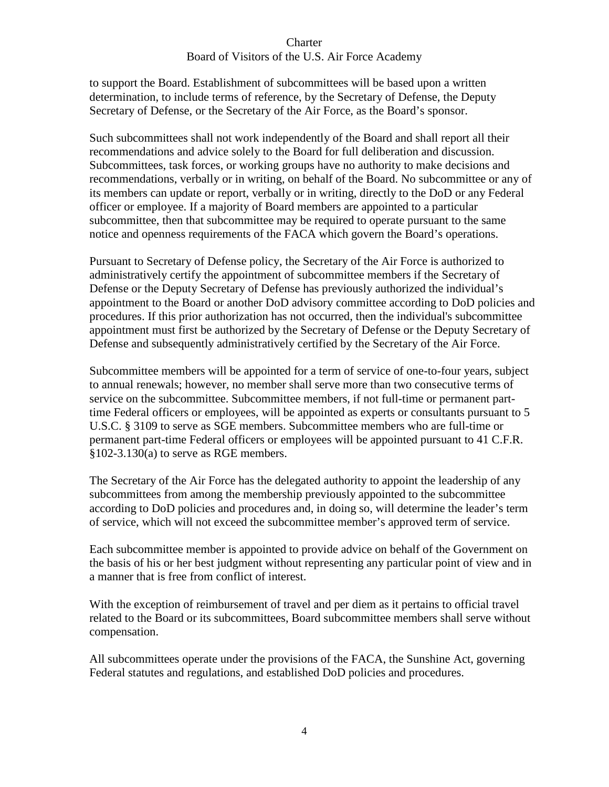to support the Board. Establishment of subcommittees will be based upon a written determination, to include terms of reference, by the Secretary of Defense, the Deputy Secretary of Defense, or the Secretary of the Air Force, as the Board's sponsor.

Such subcommittees shall not work independently of the Board and shall report all their recommendations and advice solely to the Board for full deliberation and discussion. Subcommittees, task forces, or working groups have no authority to make decisions and recommendations, verbally or in writing, on behalf of the Board. No subcommittee or any of its members can update or report, verbally or in writing, directly to the DoD or any Federal officer or employee. If a majority of Board members are appointed to a particular subcommittee, then that subcommittee may be required to operate pursuant to the same notice and openness requirements of the FACA which govern the Board's operations.

Pursuant to Secretary of Defense policy, the Secretary of the Air Force is authorized to administratively certify the appointment of subcommittee members if the Secretary of Defense or the Deputy Secretary of Defense has previously authorized the individual's appointment to the Board or another DoD advisory committee according to DoD policies and procedures. If this prior authorization has not occurred, then the individual's subcommittee appointment must first be authorized by the Secretary of Defense or the Deputy Secretary of Defense and subsequently administratively certified by the Secretary of the Air Force.

Subcommittee members will be appointed for a term of service of one-to-four years, subject to annual renewals; however, no member shall serve more than two consecutive terms of service on the subcommittee. Subcommittee members, if not full-time or permanent parttime Federal officers or employees, will be appointed as experts or consultants pursuant to 5 U.S.C. § 3109 to serve as SGE members. Subcommittee members who are full-time or permanent part-time Federal officers or employees will be appointed pursuant to 41 C.F.R.  $§102-3.130(a)$  to serve as RGE members.

The Secretary of the Air Force has the delegated authority to appoint the leadership of any subcommittees from among the membership previously appointed to the subcommittee according to DoD policies and procedures and, in doing so, will determine the leader's term of service, which will not exceed the subcommittee member's approved term of service.

Each subcommittee member is appointed to provide advice on behalf of the Government on the basis of his or her best judgment without representing any particular point of view and in a manner that is free from conflict of interest.

With the exception of reimbursement of travel and per diem as it pertains to official travel related to the Board or its subcommittees, Board subcommittee members shall serve without compensation.

All subcommittees operate under the provisions of the FACA, the Sunshine Act, governing Federal statutes and regulations, and established DoD policies and procedures.